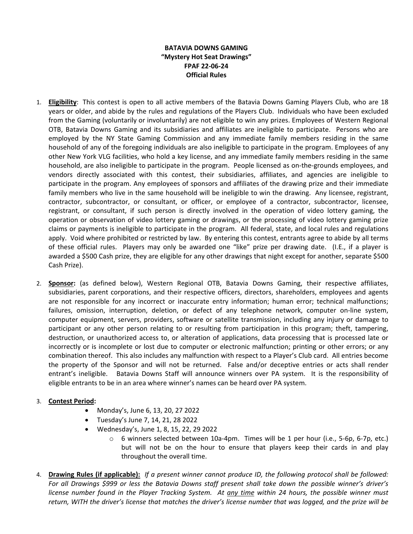## **BATAVIA DOWNS GAMING "Mystery Hot Seat Drawings" FPAF 22-06-24 Official Rules**

- 1. **Eligibility**: This contest is open to all active members of the Batavia Downs Gaming Players Club, who are 18 years or older, and abide by the rules and regulations of the Players Club. Individuals who have been excluded from the Gaming (voluntarily or involuntarily) are not eligible to win any prizes. Employees of Western Regional OTB, Batavia Downs Gaming and its subsidiaries and affiliates are ineligible to participate. Persons who are employed by the NY State Gaming Commission and any immediate family members residing in the same household of any of the foregoing individuals are also ineligible to participate in the program. Employees of any other New York VLG facilities, who hold a key license, and any immediate family members residing in the same household, are also ineligible to participate in the program. People licensed as on-the-grounds employees, and vendors directly associated with this contest, their subsidiaries, affiliates, and agencies are ineligible to participate in the program. Any employees of sponsors and affiliates of the drawing prize and their immediate family members who live in the same household will be ineligible to win the drawing. Any licensee, registrant, contractor, subcontractor, or consultant, or officer, or employee of a contractor, subcontractor, licensee, registrant, or consultant, if such person is directly involved in the operation of video lottery gaming, the operation or observation of video lottery gaming or drawings, or the processing of video lottery gaming prize claims or payments is ineligible to participate in the program. All federal, state, and local rules and regulations apply. Void where prohibited or restricted by law. By entering this contest, entrants agree to abide by all terms of these official rules. Players may only be awarded one "like" prize per drawing date. (I.E., if a player is awarded a \$500 Cash prize, they are eligible for any other drawings that night except for another, separate \$500 Cash Prize).
- 2. **Sponsor:** (as defined below), Western Regional OTB, Batavia Downs Gaming, their respective affiliates, subsidiaries, parent corporations, and their respective officers, directors, shareholders, employees and agents are not responsible for any incorrect or inaccurate entry information; human error; technical malfunctions; failures, omission, interruption, deletion, or defect of any telephone network, computer on-line system, computer equipment, servers, providers, software or satellite transmission, including any injury or damage to participant or any other person relating to or resulting from participation in this program; theft, tampering, destruction, or unauthorized access to, or alteration of applications, data processing that is processed late or incorrectly or is incomplete or lost due to computer or electronic malfunction; printing or other errors; or any combination thereof. This also includes any malfunction with respect to a Player's Club card. All entries become the property of the Sponsor and will not be returned. False and/or deceptive entries or acts shall render entrant's ineligible. Batavia Downs Staff will announce winners over PA system. It is the responsibility of eligible entrants to be in an area where winner's names can be heard over PA system.

## 3. **Contest Period:**

- Monday's, June 6, 13, 20, 27 2022
- Tuesday's June 7, 14, 21, 28 2022
- Wednesday's, June 1, 8, 15, 22, 29 2022
	- o 6 winners selected between 10a-4pm. Times will be 1 per hour (i.e., 5-6p, 6-7p, etc.) but will not be on the hour to ensure that players keep their cards in and play throughout the overall time.
- 4. **Drawing Rules (if applicable):** *If a present winner cannot produce ID, the following protocol shall be followed: For all Drawings \$999 or less the Batavia Downs staff present shall take down the possible winner's driver's license number found in the Player Tracking System. At any time within 24 hours, the possible winner must return, WITH the driver's license that matches the driver's license number that was logged, and the prize will be*